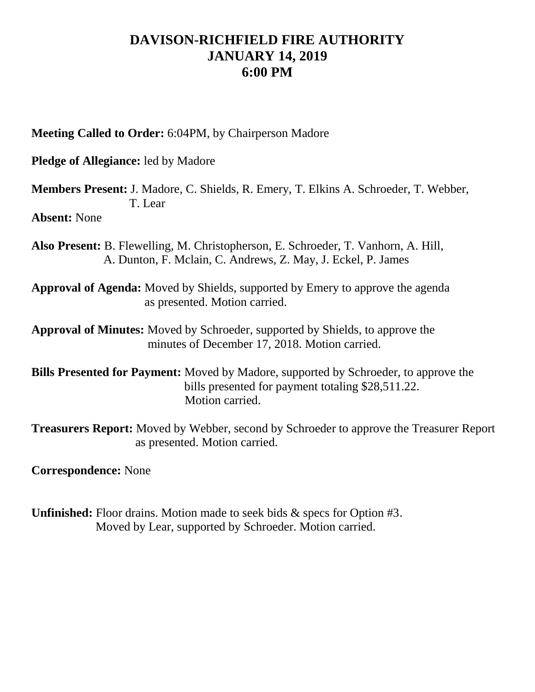## **DAVISON-RICHFIELD FIRE AUTHORITY JANUARY 14, 2019 6:00 PM**

**Meeting Called to Order:** 6:04PM, by Chairperson Madore

**Pledge of Allegiance:** led by Madore

**Members Present:** J. Madore, C. Shields, R. Emery, T. Elkins A. Schroeder, T. Webber, T. Lear

**Absent:** None

- **Also Present:** B. Flewelling, M. Christopherson, E. Schroeder, T. Vanhorn, A. Hill, A. Dunton, F. Mclain, C. Andrews, Z. May, J. Eckel, P. James
- **Approval of Agenda:** Moved by Shields, supported by Emery to approve the agenda as presented. Motion carried.

**Approval of Minutes:** Moved by Schroeder, supported by Shields, to approve the minutes of December 17, 2018. Motion carried.

**Bills Presented for Payment:** Moved by Madore, supported by Schroeder, to approve the bills presented for payment totaling \$28,511.22. Motion carried.

**Treasurers Report:** Moved by Webber, second by Schroeder to approve the Treasurer Report as presented. Motion carried.

**Correspondence:** None

**Unfinished:** Floor drains. Motion made to seek bids & specs for Option #3. Moved by Lear, supported by Schroeder. Motion carried.